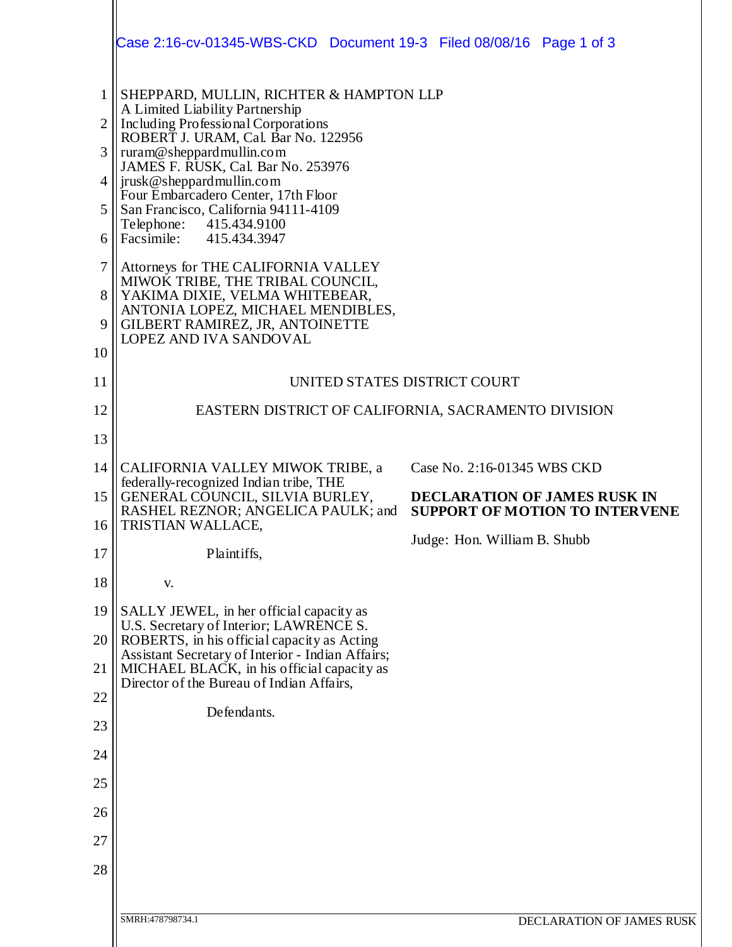|              | Case 2:16-cv-01345-WBS-CKD  Document 19-3  Filed 08/08/16  Page 1 of 3                                                                                                                                      |                                                                              |
|--------------|-------------------------------------------------------------------------------------------------------------------------------------------------------------------------------------------------------------|------------------------------------------------------------------------------|
| $\mathbf{1}$ | SHEPPARD, MULLIN, RICHTER & HAMPTON LLP<br>A Limited Liability Partnership<br>Including Professional Corporations<br>2<br>ROBERT J. URAM, Cal. Bar No. 122956<br>3<br>ruram@sheppardmullin.com              |                                                                              |
|              |                                                                                                                                                                                                             |                                                                              |
|              | JAMES F. RUSK, Cal. Bar No. 253976<br>$4$   jrusk@sheppard mullin.com                                                                                                                                       |                                                                              |
| 5            | Four Embarcadero Center, 17th Floor<br>San Francisco, California 94111-4109                                                                                                                                 |                                                                              |
| 6            | Telephone:<br>415.434.9100<br>Facsimile: 415.434.3947                                                                                                                                                       |                                                                              |
| $\tau$       | Attorneys for THE CALIFORNIA VALLEY<br>MIWOK TRIBE, THE TRIBAL COUNCIL,<br>YAKIMA DIXIE, VELMA WHITEBEAR,<br>ANTONIA LOPEZ, MICHAEL MENDIBLES,<br>GILBERT RAMIREZ, JR, ANTOINETTE<br>LOPEZ AND IVA SANDOVAL |                                                                              |
| 8<br>9       |                                                                                                                                                                                                             |                                                                              |
| 10           |                                                                                                                                                                                                             |                                                                              |
| 11           | UNITED STATES DISTRICT COURT                                                                                                                                                                                |                                                                              |
| 12           | EASTERN DISTRICT OF CALIFORNIA, SACRAMENTO DIVISION                                                                                                                                                         |                                                                              |
| 13           |                                                                                                                                                                                                             |                                                                              |
| 14           | CALIFORNIA VALLEY MIWOK TRIBE, a<br>federally-recognized Indian tribe, THE                                                                                                                                  | Case No. 2:16-01345 WBS CKD                                                  |
| 15<br>16     | GENERAL COUNCIL, SILVIA BURLEY,<br>RASHEL REZNOR; ANGELICA PAULK; and<br>TRISTIAN WALLACE,                                                                                                                  | <b>DECLARATION OF JAMES RUSK IN</b><br><b>SUPPORT OF MOTION TO INTERVENE</b> |
| 17           | Plaintiffs,                                                                                                                                                                                                 | Judge: Hon. William B. Shubb                                                 |
| 18           | V.                                                                                                                                                                                                          |                                                                              |
| 19           | SALLY JEWEL, in her official capacity as                                                                                                                                                                    |                                                                              |
| 20           | U.S. Secretary of Interior; LAWRENCE S.<br>ROBERTS, in his official capacity as Acting                                                                                                                      |                                                                              |
| 21           | Assistant Secretary of Interior - Indian Affairs;<br>MICHAEL BLACK, in his official capacity as                                                                                                             |                                                                              |
| 22           | Director of the Bureau of Indian Affairs,                                                                                                                                                                   |                                                                              |
| 23           | Defendants.                                                                                                                                                                                                 |                                                                              |
| 24           |                                                                                                                                                                                                             |                                                                              |
| 25           |                                                                                                                                                                                                             |                                                                              |
| 26           |                                                                                                                                                                                                             |                                                                              |
| 27           |                                                                                                                                                                                                             |                                                                              |
| 28           |                                                                                                                                                                                                             |                                                                              |
|              | SMRH:478798734.1                                                                                                                                                                                            | DECLARATION OF JAMES RUSK                                                    |
|              |                                                                                                                                                                                                             |                                                                              |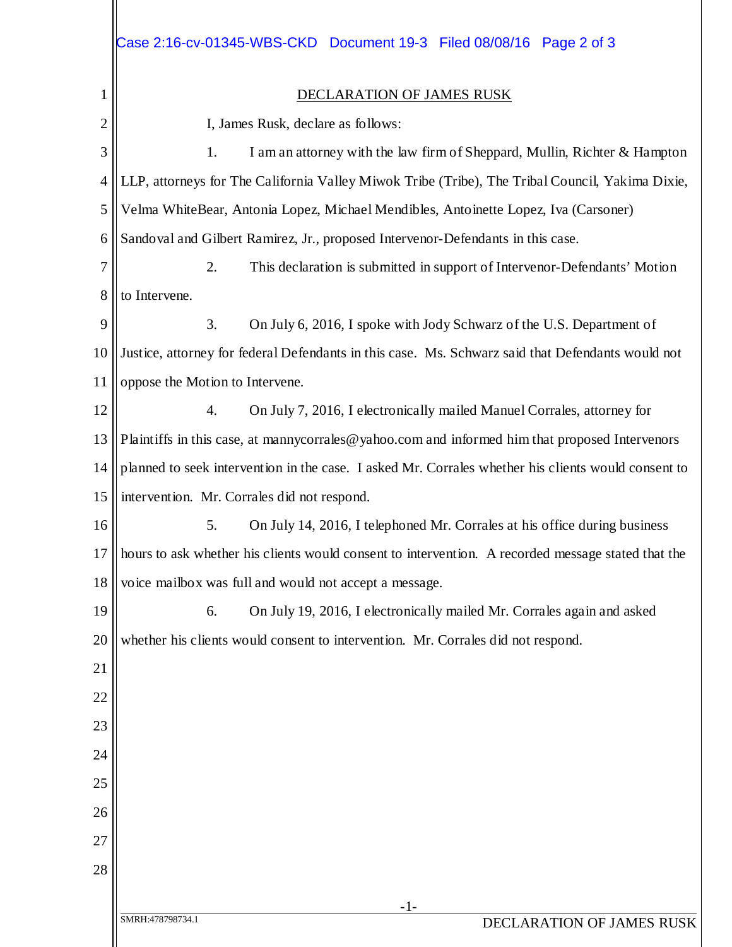|                | Case 2:16-cv-01345-WBS-CKD  Document 19-3  Filed 08/08/16  Page 2 of 3                              |  |  |
|----------------|-----------------------------------------------------------------------------------------------------|--|--|
| 1              | <b>DECLARATION OF JAMES RUSK</b>                                                                    |  |  |
| $\overline{2}$ | I, James Rusk, declare as follows:                                                                  |  |  |
| 3              | 1.<br>I am an attorney with the law firm of Sheppard, Mullin, Richter & Hampton                     |  |  |
| $\overline{4}$ | LLP, attorneys for The California Valley Miwok Tribe (Tribe), The Tribal Council, Yakima Dixie,     |  |  |
| 5              | Velma WhiteBear, Antonia Lopez, Michael Mendibles, Antoinette Lopez, Iva (Carsoner)                 |  |  |
| 6              | Sandoval and Gilbert Ramirez, Jr., proposed Intervenor-Defendants in this case.                     |  |  |
| 7              | 2.<br>This declaration is submitted in support of Intervenor-Defendants' Motion                     |  |  |
| 8              | to Intervene.                                                                                       |  |  |
| 9              | 3.<br>On July 6, 2016, I spoke with Jody Schwarz of the U.S. Department of                          |  |  |
| 10             | Justice, attorney for federal Defendants in this case. Ms. Schwarz said that Defendants would not   |  |  |
| 11             | oppose the Motion to Intervene.                                                                     |  |  |
| 12             | On July 7, 2016, I electronically mailed Manuel Corrales, attorney for<br>$\overline{4}$ .          |  |  |
| 13             | Plaintiffs in this case, at manny corrales @ yahoo.com and informed him that proposed Intervenors   |  |  |
| 14             | planned to seek intervention in the case. I asked Mr. Corrales whether his clients would consent to |  |  |
| 15             | intervention. Mr. Corrales did not respond.                                                         |  |  |
| 16             | On July 14, 2016, I telephoned Mr. Corrales at his office during business<br>5.                     |  |  |
| 17             | hours to ask whether his clients would consent to intervention. A recorded message stated that the  |  |  |
| 18             | voice mailbox was full and would not accept a message.                                              |  |  |
| 19             | On July 19, 2016, I electronically mailed Mr. Corrales again and asked<br>6.                        |  |  |
| 20             | whether his clients would consent to intervention. Mr. Corrales did not respond.                    |  |  |
| 21             |                                                                                                     |  |  |
| 22             |                                                                                                     |  |  |
| 23             |                                                                                                     |  |  |
| 24             |                                                                                                     |  |  |
| 25             |                                                                                                     |  |  |
| 26             |                                                                                                     |  |  |
| 27             |                                                                                                     |  |  |
| 28             |                                                                                                     |  |  |
|                | $-1-$<br>SMRH:478798734.1<br>DECLARATION OF JAMES RUSK                                              |  |  |
|                |                                                                                                     |  |  |